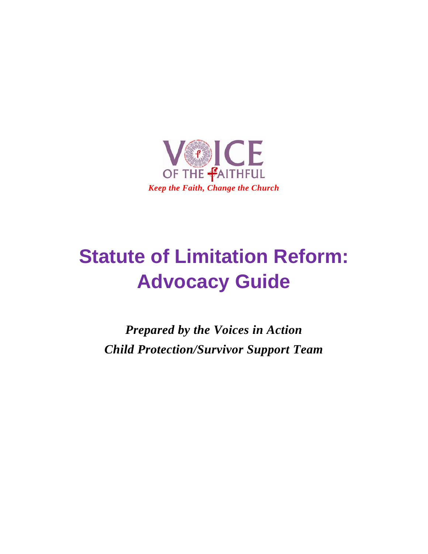

# **Statute of Limitation Reform: Advocacy Guide**

*Prepared by the Voices in Action Child Protection/Survivor Support Team*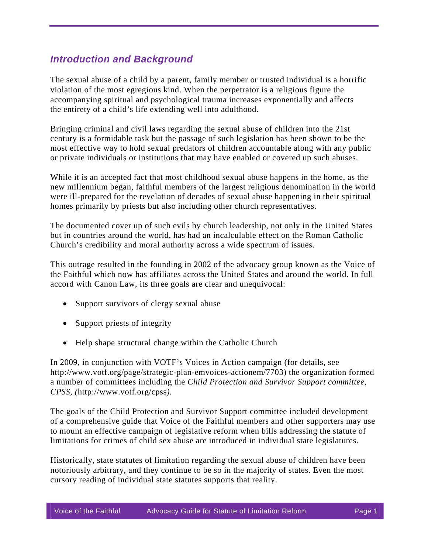### *Introduction and Background*

The sexual abuse of a child by a parent, family member or trusted individual is a horrific violation of the most egregious kind. When the perpetrator is a religious figure the accompanying spiritual and psychological trauma increases exponentially and affects the entirety of a child's life extending well into adulthood.

Bringing criminal and civil laws regarding the sexual abuse of children into the 21st century is a formidable task but the passage of such legislation has been shown to be the most effective way to hold sexual predators of children accountable along with any public or private individuals or institutions that may have enabled or covered up such abuses.

While it is an accepted fact that most childhood sexual abuse happens in the home, as the new millennium began, faithful members of the largest religious denomination in the world were ill-prepared for the revelation of decades of sexual abuse happening in their spiritual homes primarily by priests but also including other church representatives.

The documented cover up of such evils by church leadership, not only in the United States but in countries around the world, has had an incalculable effect on the Roman Catholic Church's credibility and moral authority across a wide spectrum of issues.

This outrage resulted in the founding in 2002 of the advocacy group known as the Voice of the Faithful which now has affiliates across the United States and around the world. In full accord with Canon Law, its three goals are clear and unequivocal:

- Support survivors of clergy sexual abuse
- Support priests of integrity
- Help shape structural change within the Catholic Church

In 2009, in conjunction with VOTF's Voices in Action campaign (for details, see http://www.votf.org/page/strategic-plan-emvoices-actionem/7703) the organization formed a number of committees including the *Child Protection and Survivor Support committee, CPSS, (*http://www.votf.org/cpss*).* 

The goals of the Child Protection and Survivor Support committee included development of a comprehensive guide that Voice of the Faithful members and other supporters may use to mount an effective campaign of legislative reform when bills addressing the statute of limitations for crimes of child sex abuse are introduced in individual state legislatures.

Historically, state statutes of limitation regarding the sexual abuse of children have been notoriously arbitrary, and they continue to be so in the majority of states. Even the most cursory reading of individual state statutes supports that reality.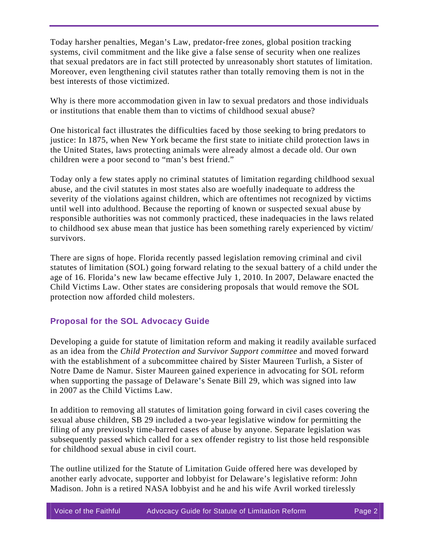Today harsher penalties, Megan's Law, predator-free zones, global position tracking systems, civil commitment and the like give a false sense of security when one realizes that sexual predators are in fact still protected by unreasonably short statutes of limitation. Moreover, even lengthening civil statutes rather than totally removing them is not in the best interests of those victimized.

Why is there more accommodation given in law to sexual predators and those individuals or institutions that enable them than to victims of childhood sexual abuse?

One historical fact illustrates the difficulties faced by those seeking to bring predators to justice: In 1875, when New York became the first state to initiate child protection laws in the United States, laws protecting animals were already almost a decade old. Our own children were a poor second to "man's best friend."

Today only a few states apply no criminal statutes of limitation regarding childhood sexual abuse, and the civil statutes in most states also are woefully inadequate to address the severity of the violations against children, which are oftentimes not recognized by victims until well into adulthood. Because the reporting of known or suspected sexual abuse by responsible authorities was not commonly practiced, these inadequacies in the laws related to childhood sex abuse mean that justice has been something rarely experienced by victim/ survivors.

There are signs of hope. Florida recently passed legislation removing criminal and civil statutes of limitation (SOL) going forward relating to the sexual battery of a child under the age of 16. Florida's new law became effective July 1, 2010. In 2007, Delaware enacted the Child Victims Law. Other states are considering proposals that would remove the SOL protection now afforded child molesters.

#### **Proposal for the SOL Advocacy Guide**

Developing a guide for statute of limitation reform and making it readily available surfaced as an idea from the *Child Protection and Survivor Support committee* and moved forward with the establishment of a subcommittee chaired by Sister Maureen Turlish, a Sister of Notre Dame de Namur. Sister Maureen gained experience in advocating for SOL reform when supporting the passage of Delaware's Senate Bill 29, which was signed into law in 2007 as the Child Victims Law.

In addition to removing all statutes of limitation going forward in civil cases covering the sexual abuse children, SB 29 included a two-year legislative window for permitting the filing of any previously time-barred cases of abuse by anyone. Separate legislation was subsequently passed which called for a sex offender registry to list those held responsible for childhood sexual abuse in civil court.

The outline utilized for the Statute of Limitation Guide offered here was developed by another early advocate, supporter and lobbyist for Delaware's legislative reform: John Madison. John is a retired NASA lobbyist and he and his wife Avril worked tirelessly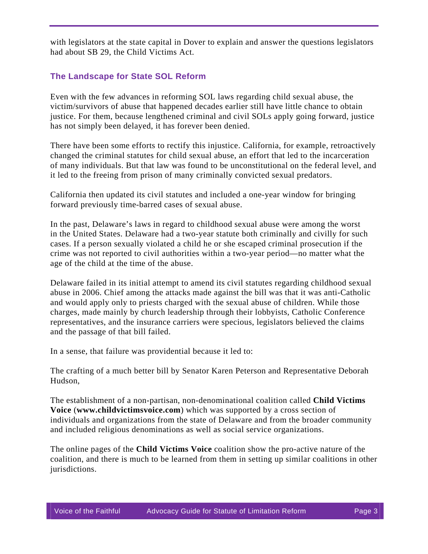with legislators at the state capital in Dover to explain and answer the questions legislators had about SB 29, the Child Victims Act.

#### **The Landscape for State SOL Reform**

Even with the few advances in reforming SOL laws regarding child sexual abuse, the victim/survivors of abuse that happened decades earlier still have little chance to obtain justice. For them, because lengthened criminal and civil SOLs apply going forward, justice has not simply been delayed, it has forever been denied.

There have been some efforts to rectify this injustice. California, for example, retroactively changed the criminal statutes for child sexual abuse, an effort that led to the incarceration of many individuals. But that law was found to be unconstitutional on the federal level, and it led to the freeing from prison of many criminally convicted sexual predators.

California then updated its civil statutes and included a one-year window for bringing forward previously time-barred cases of sexual abuse.

In the past, Delaware's laws in regard to childhood sexual abuse were among the worst in the United States. Delaware had a two-year statute both criminally and civilly for such cases. If a person sexually violated a child he or she escaped criminal prosecution if the crime was not reported to civil authorities within a two-year period—no matter what the age of the child at the time of the abuse.

Delaware failed in its initial attempt to amend its civil statutes regarding childhood sexual abuse in 2006. Chief among the attacks made against the bill was that it was anti-Catholic and would apply only to priests charged with the sexual abuse of children. While those charges, made mainly by church leadership through their lobbyists, Catholic Conference representatives, and the insurance carriers were specious, legislators believed the claims and the passage of that bill failed.

In a sense, that failure was providential because it led to:

The crafting of a much better bill by Senator Karen Peterson and Representative Deborah Hudson,

The establishment of a non-partisan, non-denominational coalition called **Child Victims Voice** (**[www.childvictimsvoice.com](http://www.childvictimsvoice.com/)**) which was supported by a cross section of individuals and organizations from the state of Delaware and from the broader community and included religious denominations as well as social service organizations.

The online pages of the **Child Victims Voice** coalition show the pro-active nature of the coalition, and there is much to be learned from them in setting up similar coalitions in other jurisdictions.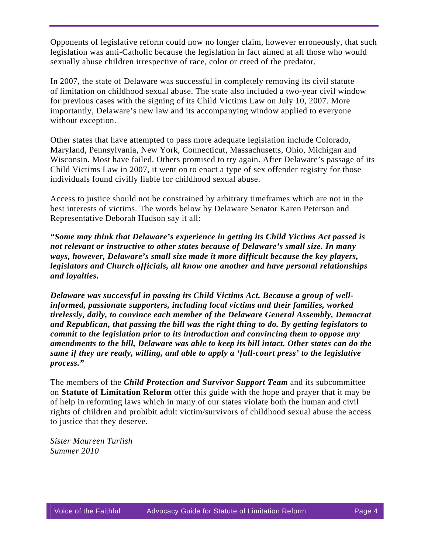Opponents of legislative reform could now no longer claim, however erroneously, that such legislation was anti-Catholic because the legislation in fact aimed at all those who would sexually abuse children irrespective of race, color or creed of the predator.

In 2007, the state of Delaware was successful in completely removing its civil statute of limitation on childhood sexual abuse. The state also included a two-year civil window for previous cases with the signing of its Child Victims Law on July 10, 2007. More importantly, Delaware's new law and its accompanying window applied to everyone without exception.

Other states that have attempted to pass more adequate legislation include Colorado, Maryland, Pennsylvania, New York, Connecticut, Massachusetts, Ohio, Michigan and Wisconsin. Most have failed. Others promised to try again. After Delaware's passage of its Child Victims Law in 2007, it went on to enact a type of sex offender registry for those individuals found civilly liable for childhood sexual abuse.

Access to justice should not be constrained by arbitrary timeframes which are not in the best interests of victims. The words below by Delaware Senator Karen Peterson and Representative Deborah Hudson say it all:

*"Some may think that Delaware's experience in getting its Child Victims Act passed is not relevant or instructive to other states because of Delaware's small size. In many ways, however, Delaware's small size made it more difficult because the key players, legislators and Church officials, all know one another and have personal relationships and loyalties.* 

*Delaware was successful in passing its Child Victims Act. Because a group of wellinformed, passionate supporters, including local victims and their families, worked tirelessly, daily, to convince each member of the Delaware General Assembly, Democrat and Republican, that passing the bill was the right thing to do. By getting legislators to commit to the legislation prior to its introduction and convincing them to oppose any amendments to the bill, Delaware was able to keep its bill intact. Other states can do the same if they are ready, willing, and able to apply a 'full-court press' to the legislative process."*

The members of the *Child Protection and Survivor Support Team* and its subcommittee on **Statute of Limitation Reform** offer this guide with the hope and prayer that it may be of help in reforming laws which in many of our states violate both the human and civil rights of children and prohibit adult victim/survivors of childhood sexual abuse the access to justice that they deserve.

*Sister Maureen Turlish Summer 2010*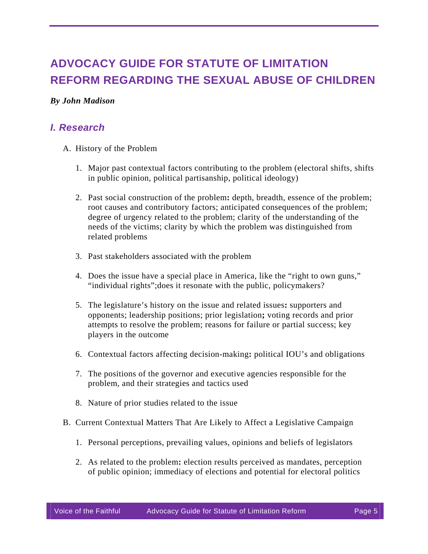# **ADVOCACY GUIDE FOR STATUTE OF LIMITATION REFORM REGARDING THE SEXUAL ABUSE OF CHILDREN**

#### *By John Madison*

### *I. Research*

- A. History of the Problem
	- 1. Major past contextual factors contributing to the problem (electoral shifts, shifts in public opinion, political partisanship, political ideology)
	- 2. Past social construction of the problem**:** depth, breadth, essence of the problem; root causes and contributory factors; anticipated consequences of the problem; degree of urgency related to the problem; clarity of the understanding of the needs of the victims; clarity by which the problem was distinguished from related problems
	- 3. Past stakeholders associated with the problem
	- 4. Does the issue have a special place in America, like the "right to own guns," "individual rights";does it resonate with the public, policymakers?
	- 5. The legislature's history on the issue and related issues**:** supporters and opponents; leadership positions; prior legislation**;** voting records and prior attempts to resolve the problem; reasons for failure or partial success; key players in the outcome
	- 6. Contextual factors affecting decision-making**:** political IOU's and obligations
	- 7. The positions of the governor and executive agencies responsible for the problem, and their strategies and tactics used
	- 8. Nature of prior studies related to the issue
- B. Current Contextual Matters That Are Likely to Affect a Legislative Campaign
	- 1. Personal perceptions, prevailing values, opinions and beliefs of legislators
	- 2. As related to the problem**:** election results perceived as mandates, perception of public opinion; immediacy of elections and potential for electoral politics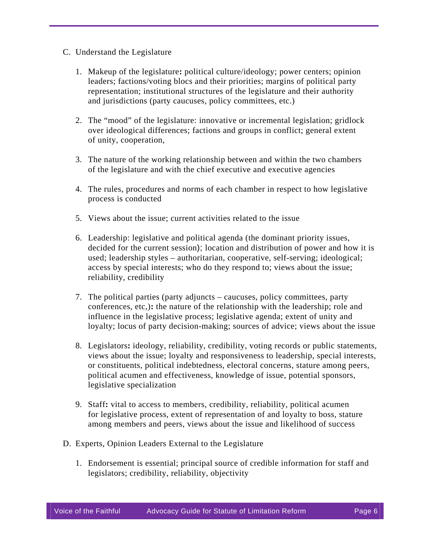- C. Understand the Legislature
	- 1. Makeup of the legislature**:** political culture/ideology; power centers; opinion leaders; factions/voting blocs and their priorities; margins of political party representation; institutional structures of the legislature and their authority and jurisdictions (party caucuses, policy committees, etc.)
	- 2. The "mood" of the legislature: innovative or incremental legislation; gridlock over ideological differences; factions and groups in conflict; general extent of unity, cooperation,
	- 3. The nature of the working relationship between and within the two chambers of the legislature and with the chief executive and executive agencies
	- 4. The rules, procedures and norms of each chamber in respect to how legislative process is conducted
	- 5. Views about the issue; current activities related to the issue
	- 6. Leadership: legislative and political agenda (the dominant priority issues, decided for the current session); location and distribution of power and how it is used; leadership styles – authoritarian, cooperative, self-serving; ideological; access by special interests; who do they respond to; views about the issue; reliability, credibility
	- 7. The political parties (party adjuncts caucuses, policy committees, party conferences, etc,)**:** the nature of the relationship with the leadership; role and influence in the legislative process; legislative agenda; extent of unity and loyalty; locus of party decision-making; sources of advice; views about the issue
	- 8. Legislators**:** ideology, reliability, credibility, voting records or public statements, views about the issue; loyalty and responsiveness to leadership, special interests, or constituents, political indebtedness, electoral concerns, stature among peers, political acumen and effectiveness, knowledge of issue, potential sponsors, legislative specialization
	- 9. Staff**:** vital to access to members, credibility, reliability, political acumen for legislative process, extent of representation of and loyalty to boss, stature among members and peers, views about the issue and likelihood of success
- D. Experts, Opinion Leaders External to the Legislature
	- 1. Endorsement is essential; principal source of credible information for staff and legislators; credibility, reliability, objectivity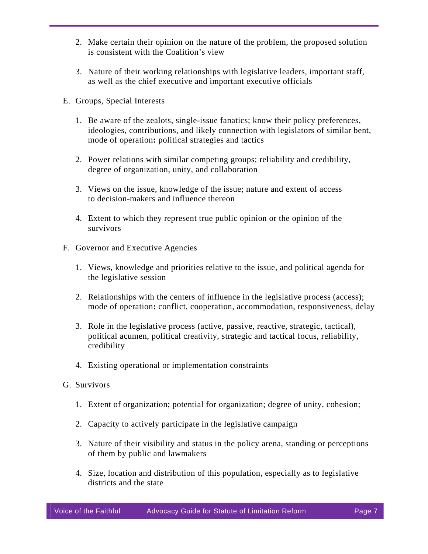- 2. Make certain their opinion on the nature of the problem, the proposed solution is consistent with the Coalition's view
- 3. Nature of their working relationships with legislative leaders, important staff, as well as the chief executive and important executive officials
- E. Groups, Special Interests
	- 1. Be aware of the zealots, single-issue fanatics; know their policy preferences, ideologies, contributions, and likely connection with legislators of similar bent, mode of operation**:** political strategies and tactics
	- 2. Power relations with similar competing groups; reliability and credibility, degree of organization, unity, and collaboration
	- 3. Views on the issue, knowledge of the issue; nature and extent of access to decision-makers and influence thereon
	- 4. Extent to which they represent true public opinion or the opinion of the survivors
- F. Governor and Executive Agencies
	- 1. Views, knowledge and priorities relative to the issue, and political agenda for the legislative session
	- 2. Relationships with the centers of influence in the legislative process (access); mode of operation**:** conflict, cooperation, accommodation, responsiveness, delay
	- 3. Role in the legislative process (active, passive, reactive, strategic, tactical), political acumen, political creativity, strategic and tactical focus, reliability, credibility
	- 4. Existing operational or implementation constraints
- G. Survivors
	- 1. Extent of organization; potential for organization; degree of unity, cohesion;
	- 2. Capacity to actively participate in the legislative campaign
	- 3. Nature of their visibility and status in the policy arena, standing or perceptions of them by public and lawmakers
	- 4. Size, location and distribution of this population, especially as to legislative districts and the state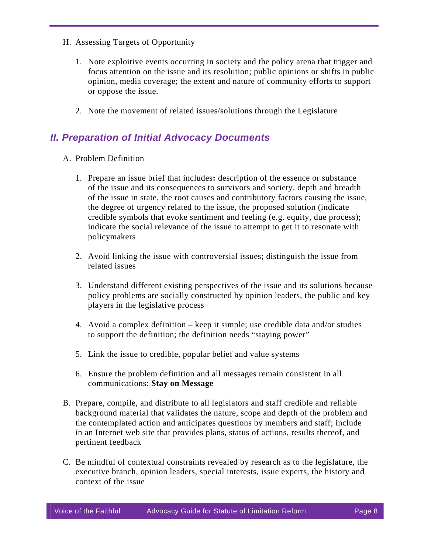- H. Assessing Targets of Opportunity
	- 1. Note exploitive events occurring in society and the policy arena that trigger and focus attention on the issue and its resolution; public opinions or shifts in public opinion, media coverage; the extent and nature of community efforts to support or oppose the issue.
	- 2. Note the movement of related issues/solutions through the Legislature

### *II. Preparation of Initial Advocacy Documents*

- A. Problem Definition
	- 1. Prepare an issue brief that includes**:** description of the essence or substance of the issue and its consequences to survivors and society, depth and breadth of the issue in state, the root causes and contributory factors causing the issue, the degree of urgency related to the issue, the proposed solution (indicate credible symbols that evoke sentiment and feeling (e.g. equity, due process); indicate the social relevance of the issue to attempt to get it to resonate with policymakers
	- 2. Avoid linking the issue with controversial issues; distinguish the issue from related issues
	- 3. Understand different existing perspectives of the issue and its solutions because policy problems are socially constructed by opinion leaders, the public and key players in the legislative process
	- 4. Avoid a complex definition keep it simple; use credible data and/or studies to support the definition; the definition needs "staying power"
	- 5. Link the issue to credible, popular belief and value systems
	- 6. Ensure the problem definition and all messages remain consistent in all communications: **Stay on Message**
- B. Prepare, compile, and distribute to all legislators and staff credible and reliable background material that validates the nature, scope and depth of the problem and the contemplated action and anticipates questions by members and staff; include in an Internet web site that provides plans, status of actions, results thereof, and pertinent feedback
- C. Be mindful of contextual constraints revealed by research as to the legislature, the executive branch, opinion leaders, special interests, issue experts, the history and context of the issue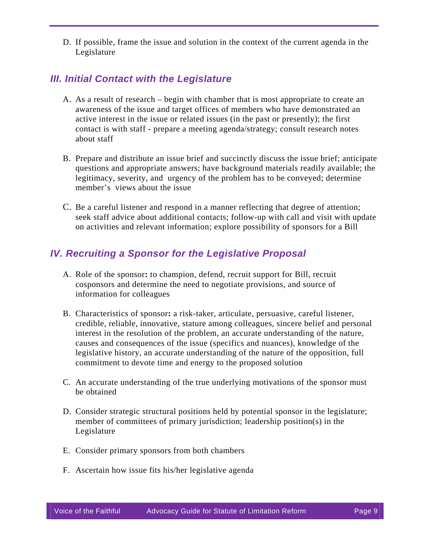D. If possible, frame the issue and solution in the context of the current agenda in the Legislature

### *III. Initial Contact with the Legislature*

- A. As a result of research begin with chamber that is most appropriate to create an awareness of the issue and target offices of members who have demonstrated an active interest in the issue or related issues (in the past or presently); the first contact is with staff - prepare a meeting agenda/strategy; consult research notes about staff
- B. Prepare and distribute an issue brief and succinctly discuss the issue brief; anticipate questions and appropriate answers; have background materials readily available; the legitimacy, severity, and urgency of the problem has to be conveyed; determine member's views about the issue
- C. Be a careful listener and respond in a manner reflecting that degree of attention; seek staff advice about additional contacts; follow-up with call and visit with update on activities and relevant information; explore possibility of sponsors for a Bill

### *IV. Recruiting a Sponsor for the Legislative Proposal*

- A. Role of the sponsor**:** to champion, defend, recruit support for Bill, recruit cosponsors and determine the need to negotiate provisions, and source of information for colleagues
- B. Characteristics of sponsor**:** a risk-taker, articulate, persuasive, careful listener, credible, reliable, innovative, stature among colleagues, sincere belief and personal interest in the resolution of the problem, an accurate understanding of the nature, causes and consequences of the issue (specifics and nuances), knowledge of the legislative history, an accurate understanding of the nature of the opposition, full commitment to devote time and energy to the proposed solution
- C. An accurate understanding of the true underlying motivations of the sponsor must be obtained
- D. Consider strategic structural positions held by potential sponsor in the legislature; member of committees of primary jurisdiction; leadership position(s) in the Legislature
- E. Consider primary sponsors from both chambers
- F. Ascertain how issue fits his/her legislative agenda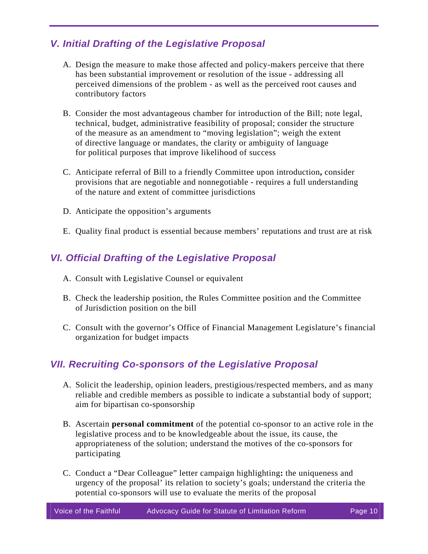### *V. Initial Drafting of the Legislative Proposal*

- A. Design the measure to make those affected and policy-makers perceive that there has been substantial improvement or resolution of the issue - addressing all perceived dimensions of the problem - as well as the perceived root causes and contributory factors
- B. Consider the most advantageous chamber for introduction of the Bill; note legal, technical, budget, administrative feasibility of proposal; consider the structure of the measure as an amendment to "moving legislation"; weigh the extent of directive language or mandates, the clarity or ambiguity of language for political purposes that improve likelihood of success
- C. Anticipate referral of Bill to a friendly Committee upon introduction**,** consider provisions that are negotiable and nonnegotiable - requires a full understanding of the nature and extent of committee jurisdictions
- D. Anticipate the opposition's arguments
- E. Quality final product is essential because members' reputations and trust are at risk

### *VI. Official Drafting of the Legislative Proposal*

- A. Consult with Legislative Counsel or equivalent
- B. Check the leadership position, the Rules Committee position and the Committee of Jurisdiction position on the bill
- C. Consult with the governor's Office of Financial Management Legislature's financial organization for budget impacts

### *VII. Recruiting Co-sponsors of the Legislative Proposal*

- A. Solicit the leadership, opinion leaders, prestigious/respected members, and as many reliable and credible members as possible to indicate a substantial body of support; aim for bipartisan co-sponsorship
- B. Ascertain **personal commitment** of the potential co-sponsor to an active role in the legislative process and to be knowledgeable about the issue, its cause, the appropriateness of the solution; understand the motives of the co-sponsors for participating
- C. Conduct a "Dear Colleague" letter campaign highlighting**:** the uniqueness and urgency of the proposal' its relation to society's goals; understand the criteria the potential co-sponsors will use to evaluate the merits of the proposal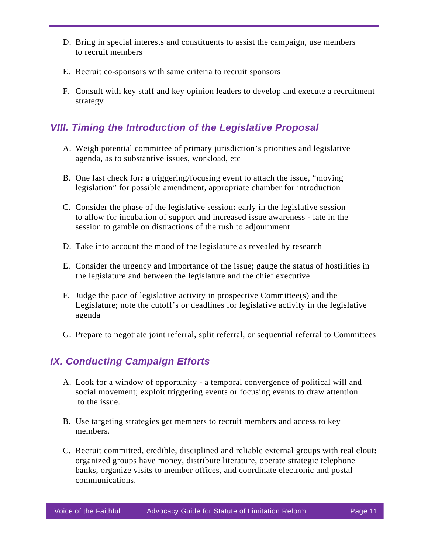- D. Bring in special interests and constituents to assist the campaign, use members to recruit members
- E. Recruit co-sponsors with same criteria to recruit sponsors
- F. Consult with key staff and key opinion leaders to develop and execute a recruitment strategy

### *VIII. Timing the Introduction of the Legislative Proposal*

- A. Weigh potential committee of primary jurisdiction's priorities and legislative agenda, as to substantive issues, workload, etc
- B. One last check for**:** a triggering/focusing event to attach the issue, "moving legislation" for possible amendment, appropriate chamber for introduction
- C. Consider the phase of the legislative session**:** early in the legislative session to allow for incubation of support and increased issue awareness - late in the session to gamble on distractions of the rush to adjournment
- D. Take into account the mood of the legislature as revealed by research
- E. Consider the urgency and importance of the issue; gauge the status of hostilities in the legislature and between the legislature and the chief executive
- F. Judge the pace of legislative activity in prospective Committee(s) and the Legislature; note the cutoff's or deadlines for legislative activity in the legislative agenda
- G. Prepare to negotiate joint referral, split referral, or sequential referral to Committees

### *IX. Conducting Campaign Efforts*

- A. Look for a window of opportunity a temporal convergence of political will and social movement; exploit triggering events or focusing events to draw attention to the issue.
- B. Use targeting strategies get members to recruit members and access to key members.
- C. Recruit committed, credible, disciplined and reliable external groups with real clout**:** organized groups have money, distribute literature, operate strategic telephone banks, organize visits to member offices, and coordinate electronic and postal communications.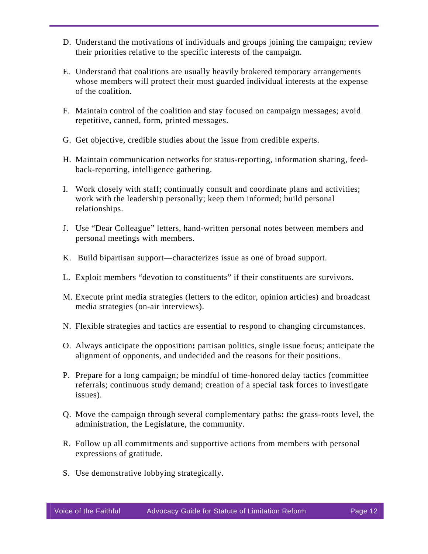- D. Understand the motivations of individuals and groups joining the campaign; review their priorities relative to the specific interests of the campaign.
- E. Understand that coalitions are usually heavily brokered temporary arrangements whose members will protect their most guarded individual interests at the expense of the coalition.
- F. Maintain control of the coalition and stay focused on campaign messages; avoid repetitive, canned, form, printed messages.
- G. Get objective, credible studies about the issue from credible experts.
- H. Maintain communication networks for status-reporting, information sharing, feedback-reporting, intelligence gathering.
- I. Work closely with staff; continually consult and coordinate plans and activities; work with the leadership personally; keep them informed; build personal relationships.
- J. Use "Dear Colleague" letters, hand-written personal notes between members and personal meetings with members.
- K. Build bipartisan support—characterizes issue as one of broad support.
- L. Exploit members "devotion to constituents" if their constituents are survivors.
- M. Execute print media strategies (letters to the editor, opinion articles) and broadcast media strategies (on-air interviews).
- N. Flexible strategies and tactics are essential to respond to changing circumstances.
- O. Always anticipate the opposition**:** partisan politics, single issue focus; anticipate the alignment of opponents, and undecided and the reasons for their positions.
- P. Prepare for a long campaign; be mindful of time-honored delay tactics (committee referrals; continuous study demand; creation of a special task forces to investigate issues).
- Q. Move the campaign through several complementary paths**:** the grass-roots level, the administration, the Legislature, the community.
- R. Follow up all commitments and supportive actions from members with personal expressions of gratitude.
- S. Use demonstrative lobbying strategically.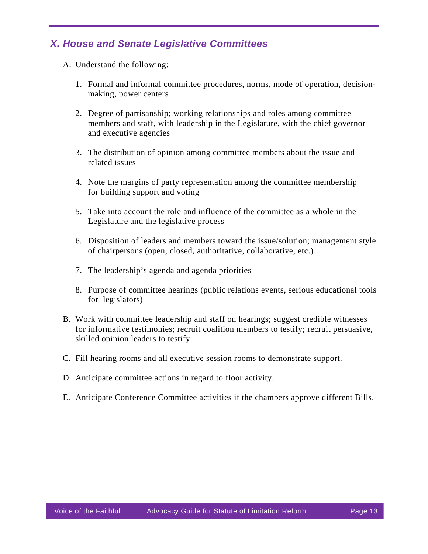### *X. House and Senate Legislative Committees*

- A. Understand the following:
	- 1. Formal and informal committee procedures, norms, mode of operation, decisionmaking, power centers
	- 2. Degree of partisanship; working relationships and roles among committee members and staff, with leadership in the Legislature, with the chief governor and executive agencies
	- 3. The distribution of opinion among committee members about the issue and related issues
	- 4. Note the margins of party representation among the committee membership for building support and voting
	- 5. Take into account the role and influence of the committee as a whole in the Legislature and the legislative process
	- 6. Disposition of leaders and members toward the issue/solution; management style of chairpersons (open, closed, authoritative, collaborative, etc.)
	- 7. The leadership's agenda and agenda priorities
	- 8. Purpose of committee hearings (public relations events, serious educational tools for legislators)
- B. Work with committee leadership and staff on hearings; suggest credible witnesses for informative testimonies; recruit coalition members to testify; recruit persuasive, skilled opinion leaders to testify.
- C. Fill hearing rooms and all executive session rooms to demonstrate support.
- D. Anticipate committee actions in regard to floor activity.
- E. Anticipate Conference Committee activities if the chambers approve different Bills.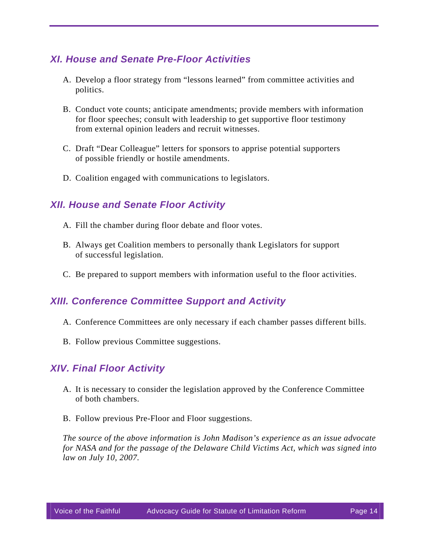### *XI. House and Senate Pre-Floor Activities*

- A. Develop a floor strategy from "lessons learned" from committee activities and politics.
- B. Conduct vote counts; anticipate amendments; provide members with information for floor speeches; consult with leadership to get supportive floor testimony from external opinion leaders and recruit witnesses.
- C. Draft "Dear Colleague" letters for sponsors to apprise potential supporters of possible friendly or hostile amendments.
- D. Coalition engaged with communications to legislators.

### *XII. House and Senate Floor Activity*

- A. Fill the chamber during floor debate and floor votes.
- B. Always get Coalition members to personally thank Legislators for support of successful legislation.
- C. Be prepared to support members with information useful to the floor activities.

### *XIII. Conference Committee Support and Activity*

- A. Conference Committees are only necessary if each chamber passes different bills.
- B. Follow previous Committee suggestions.

### *XIV. Final Floor Activity*

- A. It is necessary to consider the legislation approved by the Conference Committee of both chambers.
- B. Follow previous Pre-Floor and Floor suggestions.

*The source of the above information is John Madison's experience as an issue advocate for NASA and for the passage of the Delaware Child Victims Act, which was signed into law on July 10, 2007.*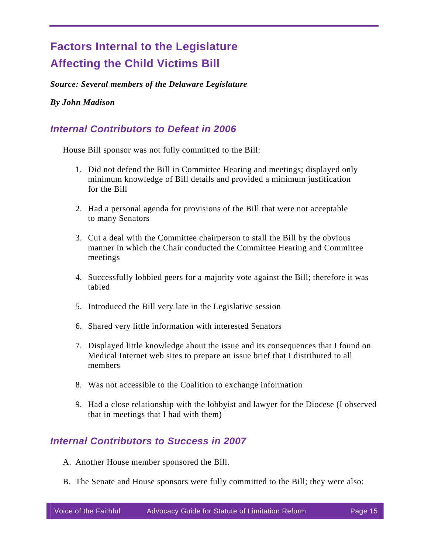# **Factors Internal to the Legislature Affecting the Child Victims Bill**

*Source: Several members of the Delaware Legislature* 

#### *By John Madison*

### *Internal Contributors to Defeat in 2006*

House Bill sponsor was not fully committed to the Bill:

- 1. Did not defend the Bill in Committee Hearing and meetings; displayed only minimum knowledge of Bill details and provided a minimum justification for the Bill
- 2. Had a personal agenda for provisions of the Bill that were not acceptable to many Senators
- 3. Cut a deal with the Committee chairperson to stall the Bill by the obvious manner in which the Chair conducted the Committee Hearing and Committee meetings
- 4. Successfully lobbied peers for a majority vote against the Bill; therefore it was tabled
- 5. Introduced the Bill very late in the Legislative session
- 6. Shared very little information with interested Senators
- 7. Displayed little knowledge about the issue and its consequences that I found on Medical Internet web sites to prepare an issue brief that I distributed to all members
- 8. Was not accessible to the Coalition to exchange information
- 9. Had a close relationship with the lobbyist and lawyer for the Diocese (I observed that in meetings that I had with them)

### *Internal Contributors to Success in 2007*

- A. Another House member sponsored the Bill.
- B. The Senate and House sponsors were fully committed to the Bill; they were also: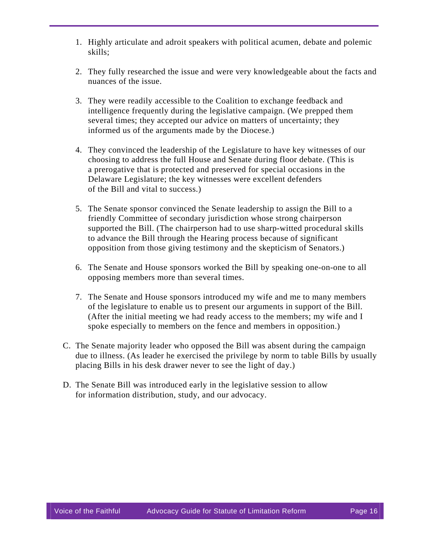- 1. Highly articulate and adroit speakers with political acumen, debate and polemic skills;
- 2. They fully researched the issue and were very knowledgeable about the facts and nuances of the issue.
- 3. They were readily accessible to the Coalition to exchange feedback and intelligence frequently during the legislative campaign. (We prepped them several times; they accepted our advice on matters of uncertainty; they informed us of the arguments made by the Diocese.)
- 4. They convinced the leadership of the Legislature to have key witnesses of our choosing to address the full House and Senate during floor debate. (This is a prerogative that is protected and preserved for special occasions in the Delaware Legislature; the key witnesses were excellent defenders of the Bill and vital to success.)
- 5. The Senate sponsor convinced the Senate leadership to assign the Bill to a friendly Committee of secondary jurisdiction whose strong chairperson supported the Bill. (The chairperson had to use sharp-witted procedural skills to advance the Bill through the Hearing process because of significant opposition from those giving testimony and the skepticism of Senators.)
- 6. The Senate and House sponsors worked the Bill by speaking one-on-one to all opposing members more than several times.
- 7. The Senate and House sponsors introduced my wife and me to many members of the legislature to enable us to present our arguments in support of the Bill. (After the initial meeting we had ready access to the members; my wife and I spoke especially to members on the fence and members in opposition.)
- C. The Senate majority leader who opposed the Bill was absent during the campaign due to illness. (As leader he exercised the privilege by norm to table Bills by usually placing Bills in his desk drawer never to see the light of day.)
- D. The Senate Bill was introduced early in the legislative session to allow for information distribution, study, and our advocacy.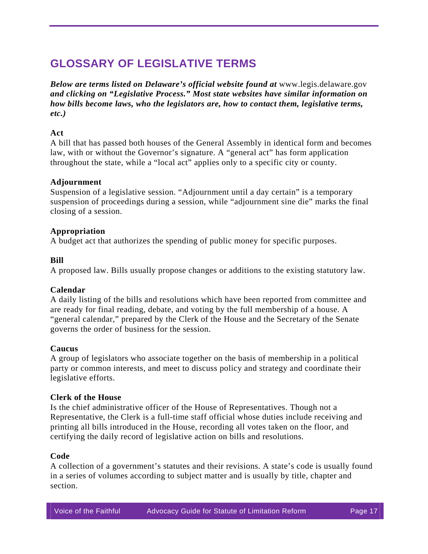# **GLOSSARY OF LEGISLATIVE TERMS**

*Below are terms listed on Delaware's official website found at [www.legis.delaware.gov](http://www.legis.delaware.gov/) and clicking on "Legislative Process." Most state websites have similar information on how bills become laws, who the legislators are, how to contact them, legislative terms, etc.)* 

#### **Act**

A bill that has passed both houses of the General Assembly in identical form and becomes law, with or without the Governor's signature. A "general act" has form application throughout the state, while a "local act" applies only to a specific city or county.

#### **Adjournment**

Suspension of a legislative session. "Adjournment until a day certain" is a temporary suspension of proceedings during a session, while "adjournment sine die" marks the final closing of a session.

#### **Appropriation**

A budget act that authorizes the spending of public money for specific purposes.

#### **Bill**

A proposed law. Bills usually propose changes or additions to the existing statutory law.

#### **Calendar**

A daily listing of the bills and resolutions which have been reported from committee and are ready for final reading, debate, and voting by the full membership of a house. A "general calendar," prepared by the Clerk of the House and the Secretary of the Senate governs the order of business for the session.

#### **Caucus**

A group of legislators who associate together on the basis of membership in a political party or common interests, and meet to discuss policy and strategy and coordinate their legislative efforts.

#### **Clerk of the House**

Is the chief administrative officer of the House of Representatives. Though not a Representative, the Clerk is a full-time staff official whose duties include receiving and printing all bills introduced in the House, recording all votes taken on the floor, and certifying the daily record of legislative action on bills and resolutions.

#### **Code**

A collection of a government's statutes and their revisions. A state's code is usually found in a series of volumes according to subject matter and is usually by title, chapter and section.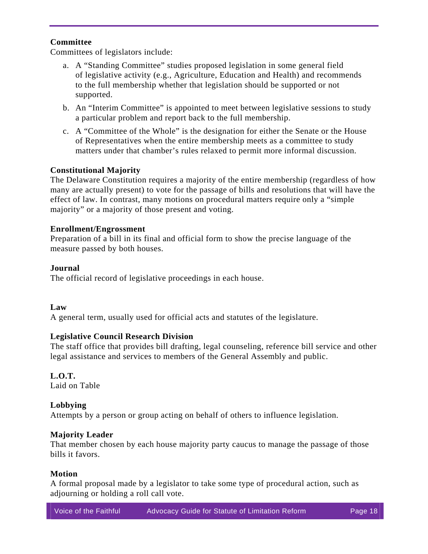#### **Committee**

Committees of legislators include:

- a. A "Standing Committee" studies proposed legislation in some general field of legislative activity (e.g., Agriculture, Education and Health) and recommends to the full membership whether that legislation should be supported or not supported.
- b. An "Interim Committee" is appointed to meet between legislative sessions to study a particular problem and report back to the full membership.
- c. A "Committee of the Whole" is the designation for either the Senate or the House of Representatives when the entire membership meets as a committee to study matters under that chamber's rules relaxed to permit more informal discussion.

#### **Constitutional Majority**

The Delaware Constitution requires a majority of the entire membership (regardless of how many are actually present) to vote for the passage of bills and resolutions that will have the effect of law. In contrast, many motions on procedural matters require only a "simple majority" or a majority of those present and voting.

#### **Enrollment/Engrossment**

Preparation of a bill in its final and official form to show the precise language of the measure passed by both houses.

#### **Journal**

The official record of legislative proceedings in each house.

#### **Law**

A general term, usually used for official acts and statutes of the legislature.

#### **Legislative Council Research Division**

The staff office that provides bill drafting, legal counseling, reference bill service and other legal assistance and services to members of the General Assembly and public.

#### **L.O.T.**

Laid on Table

#### **Lobbying**

Attempts by a person or group acting on behalf of others to influence legislation.

#### **Majority Leader**

That member chosen by each house majority party caucus to manage the passage of those bills it favors.

#### **Motion**

A formal proposal made by a legislator to take some type of procedural action, such as adjourning or holding a roll call vote.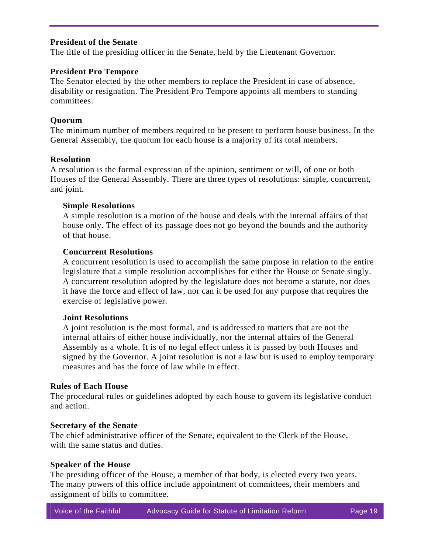#### **President of the Senate**

The title of the presiding officer in the Senate, held by the Lieutenant Governor.

#### **President Pro Tempore**

The Senator elected by the other members to replace the President in case of absence, disability or resignation. The President Pro Tempore appoints all members to standing committees.

#### **Quorum**

The minimum number of members required to be present to perform house business. In the General Assembly, the quorum for each house is a majority of its total members.

#### **Resolution**

A resolution is the formal expression of the opinion, sentiment or will, of one or both Houses of the General Assembly. There are three types of resolutions: simple, concurrent, and joint.

#### **Simple Resolutions**

A simple resolution is a motion of the house and deals with the internal affairs of that house only. The effect of its passage does not go beyond the bounds and the authority of that house.

#### **Concurrent Resolutions**

A concurrent resolution is used to accomplish the same purpose in relation to the entire legislature that a simple resolution accomplishes for either the House or Senate singly. A concurrent resolution adopted by the legislature does not become a statute, nor does it have the force and effect of law, nor can it be used for any purpose that requires the exercise of legislative power.

#### **Joint Resolutions**

A joint resolution is the most formal, and is addressed to matters that are not the internal affairs of either house individually, nor the internal affairs of the General Assembly as a whole. It is of no legal effect unless it is passed by both Houses and signed by the Governor. A joint resolution is not a law but is used to employ temporary measures and has the force of law while in effect.

#### **Rules of Each House**

The procedural rules or guidelines adopted by each house to govern its legislative conduct and action.

#### **Secretary of the Senate**

The chief administrative officer of the Senate, equivalent to the Clerk of the House, with the same status and duties.

#### **Speaker of the House**

The presiding officer of the House, a member of that body, is elected every two years. The many powers of this office include appointment of committees, their members and assignment of bills to committee.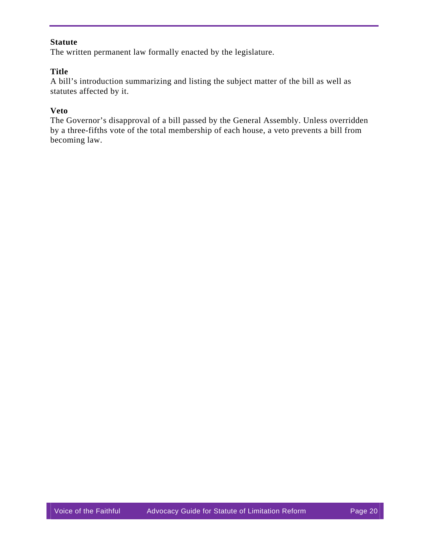#### **Statute**

The written permanent law formally enacted by the legislature.

#### **Title**

A bill's introduction summarizing and listing the subject matter of the bill as well as statutes affected by it.

#### **Veto**

The Governor's disapproval of a bill passed by the General Assembly. Unless overridden by a three-fifths vote of the total membership of each house, a veto prevents a bill from becoming law.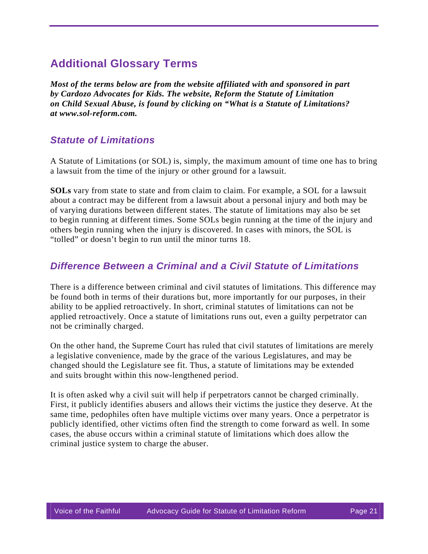## **Additional Glossary Terms**

*Most of the terms below are from the website affiliated with and sponsored in part by Cardozo Advocates for Kids. The website, Reform the Statute of Limitation on Child Sexual Abuse, is found by clicking on "What is a Statute of Limitations? at [www.sol-reform.com](http://www.sol-reform.com/).*

### *Statute of Limitations*

A Statute of Limitations (or SOL) is, simply, the maximum amount of time one has to bring a lawsuit from the time of the injury or other ground for a lawsuit.

**SOLs** vary from state to state and from claim to claim. For example, a SOL for a lawsuit about a contract may be different from a lawsuit about a personal injury and both may be of varying durations between different states. The statute of limitations may also be set to begin running at different times. Some SOLs begin running at the time of the injury and others begin running when the injury is discovered. In cases with minors, the SOL is "tolled" or doesn't begin to run until the minor turns 18.

### *Difference Between a Criminal and a Civil Statute of Limitations*

There is a difference between criminal and civil statutes of limitations. This difference may be found both in terms of their durations but, more importantly for our purposes, in their ability to be applied retroactively. In short, criminal statutes of limitations can not be applied retroactively. Once a statute of limitations runs out, even a guilty perpetrator can not be criminally charged.

On the other hand, the Supreme Court has ruled that civil statutes of limitations are merely a legislative convenience, made by the grace of the various Legislatures, and may be changed should the Legislature see fit. Thus, a statute of limitations may be extended and suits brought within this now-lengthened period.

It is often asked why a civil suit will help if perpetrators cannot be charged criminally. First, it publicly identifies abusers and allows their victims the justice they deserve. At the same time, pedophiles often have multiple victims over many years. Once a perpetrator is publicly identified, other victims often find the strength to come forward as well. In some cases, the abuse occurs within a criminal statute of limitations which does allow the criminal justice system to charge the abuser.